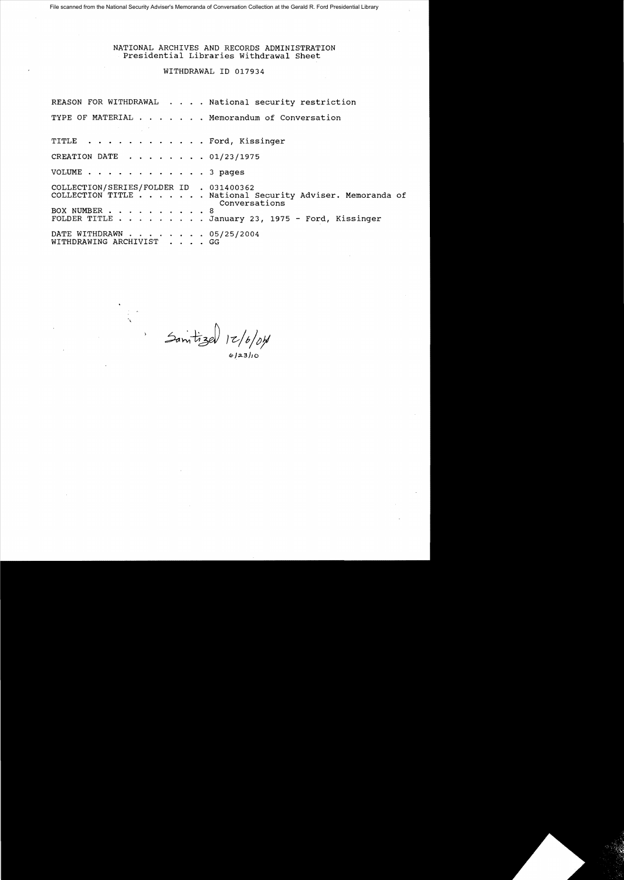File scanned from the National Security Adviser's Memoranda of Conversation Collection at the Gerald R. Ford Presidential Library

## NATIONAL ARCHIVES AND RECORDS ADMINISTRATION Presidential Libraries Withdrawal Sheet

### WITHDRAWAL ID 017934

|                                                                                                                                        | REASON FOR WITHDRAWAL National security restriction                       |
|----------------------------------------------------------------------------------------------------------------------------------------|---------------------------------------------------------------------------|
| $\mathcal{L}(\mathcal{L}(\mathcal{L}))$ and $\mathcal{L}(\mathcal{L}(\mathcal{L}))$ and $\mathcal{L}(\mathcal{L}(\mathcal{L}))$ . Then | TYPE OF MATERIAL Memorandum of Conversation                               |
| TITLE Ford, Kissinger                                                                                                                  |                                                                           |
| CREATION DATE 01/23/1975                                                                                                               |                                                                           |
| VOLUME 3 pages                                                                                                                         |                                                                           |
| COLLECTION/SERIES/FOLDER ID . 031400362                                                                                                | COLLECTION TITLE National Security Adviser. Memoranda of<br>Conversations |
| BOX NUMBER 8                                                                                                                           | FOLDER TITLE January 23, 1975 - Ford, Kissinger                           |
| DATE WITHDRAWN 05/25/2004<br>WITHDRAWING ARCHIVIST GG                                                                                  |                                                                           |

Sam*tize*d 12/*b/dfl* 

6/23/10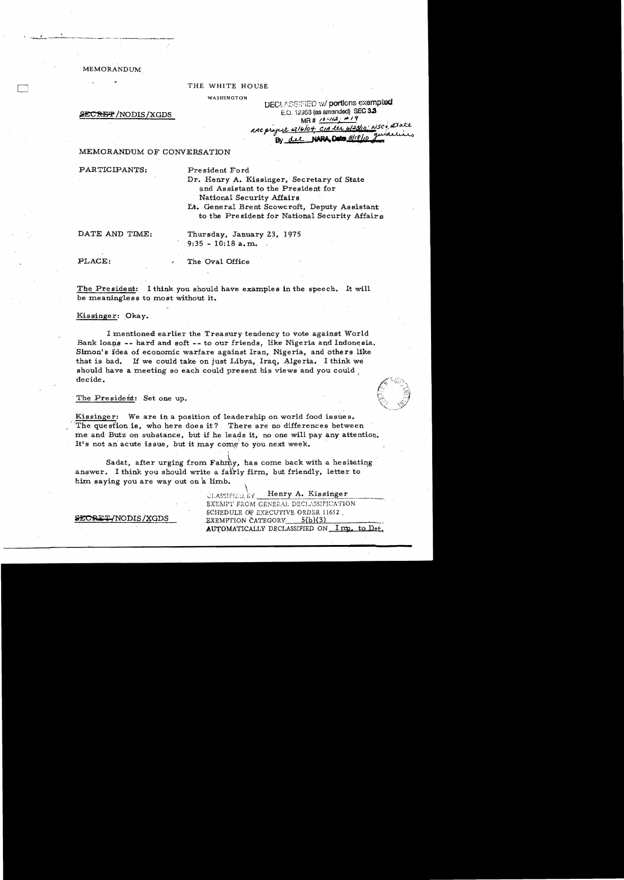**MEMORANDUM** 

### THE WHITE HOUSE

WASHINGTON

### **SECRET/NODIS/XGDS**

**DECLASSIFIED w/ portions exempted** E.O. 12953 (as amended) SEC 3.3 MR#  $10 - 112 + 19$ RAC project 416/04 CIA les 6/23/10: NSCO 2Jake NARA Detro 8/18/10

### MEMORANDUM OF CONVERSATION

PARTICIPANTS:

President Ford

Dr. Henry A. Kissinger, Secretary of State and Assistant to the President for National Security Affairs

Lt. General Brent Scowcroft. Deputy Assistant to the President for National Security Affairs

DATE AND TIME:

Thursday, January 23, 1975  $9:35 - 10:18$  a.m.

PLACE:

The Oval Office

The President: I think you should have examples in the speech. It will be meaningless to most without it.

Kissinger: Okay.

I mentioned earlier the Treasury tendency to vote against World Bank loans -- hard and soft -- to our friends, like Nigeria and Indonesia. Simon's idea of economic warfare against Iran, Nigeria, and others like If we could take on just Libya, Iraq, Algeria. I think we that is bad. should have a meeting so each could present his views and you could decide.

### The President: Set one up.

Kissinger: We are in a position of leadership on world food issues. The question is, who here does it? There are no differences between me and Butz on substance, but if he leads it, no one will pay any attention. It's not an acute issue, but it may come to you next week.

Sadat, after urging from Fahrhy, has come back with a hesitating answer. I think you should write a fairly firm, but friendly, letter to him saying you are way out on a limb.

> Henry A. Kissinger èlassified by

EXEMPT FROM GENERAL DECLASSIFICATION SCHEDULE OF EXECUTIVE ORDER 11652. EXEMPTION CATEGORY  $5(b)(3)$ AUTOMATICALLY DECLASSIFIED ON Imp. to Det.

SECRET/NODIS/XGDS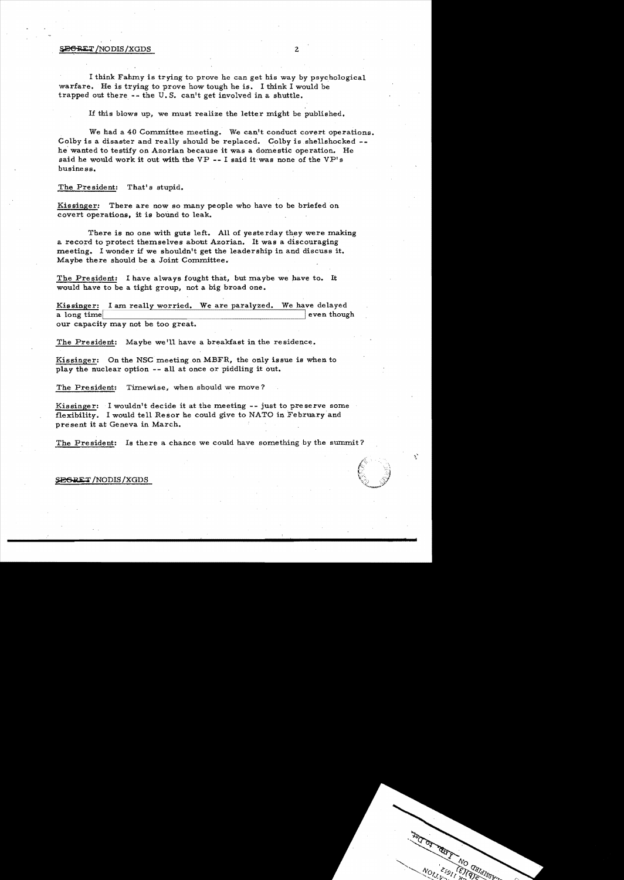# $\frac{1}{2}$  ,  $\frac{1}{2}$  ,  $\frac{1}{2}$  ,  $\frac{1}{2}$  ,  $\frac{1}{2}$  ,  $\frac{1}{2}$  ,  $\frac{1}{2}$  ,  $\frac{1}{2}$  ,  $\frac{1}{2}$  ,  $\frac{1}{2}$  ,  $\frac{1}{2}$  ,  $\frac{1}{2}$  ,  $\frac{1}{2}$  ,  $\frac{1}{2}$  ,  $\frac{1}{2}$  ,  $\frac{1}{2}$  ,  $\frac{1}{2}$  ,  $\frac{1}{2}$  ,  $\frac{1$

I think Fahmy is trying to prove he can get his way by psychological warfare. He is trying to prove how tough he is. I think I would be trapped out there -- the U. S. can't get involved in a shuttle.

If this blows up, we must realize the letter might be published.

We had a 40 Committee meeting. We can't conduct covert operations. Colby is a disaster and really should be replaced. Colby is shellshocked  $$ he wanted to testify on Azorian because it was a domestic operation. He said he would work it out with the VP **--** I said it was none of the VP's business.

The President: That's stupid.

Kissinger: There are now so many people who have to be briefed on covert operations, it is bound to leak.

There is no one with guts left. All of yesterday they were making a record to protect themselves about Azorian. It was a discouraging meeting. 1 wonder if we shouldn't get the leadership in and discuss it. Maybe there should be a Joint Committee.

The President: 1 have always fought that, but maybe we have to. It would have to be a tight group, not a big broad one.

Kissinger: I am really worried. We are paralyzed. We have delayed<br>a long time ven though a long time our capacity may not be too great.

The President: Maybe we'll have a breakfast in the residence.

Kissinger: On the NSC meeting on MBFR, the only issue is when to play the nuclear option -- all at once or piddling it out.

The President: Timewise, when should we move?

Kissinger: I wouldn't decide it at the meeting  $-$ -just to preserve some flexibility. I would tell Resor he could give to NATO in February and present it at Geneva in March.

The President: Is there a chance we could have something by the summit?

é,

### SEGRET/NODIS/XGDS